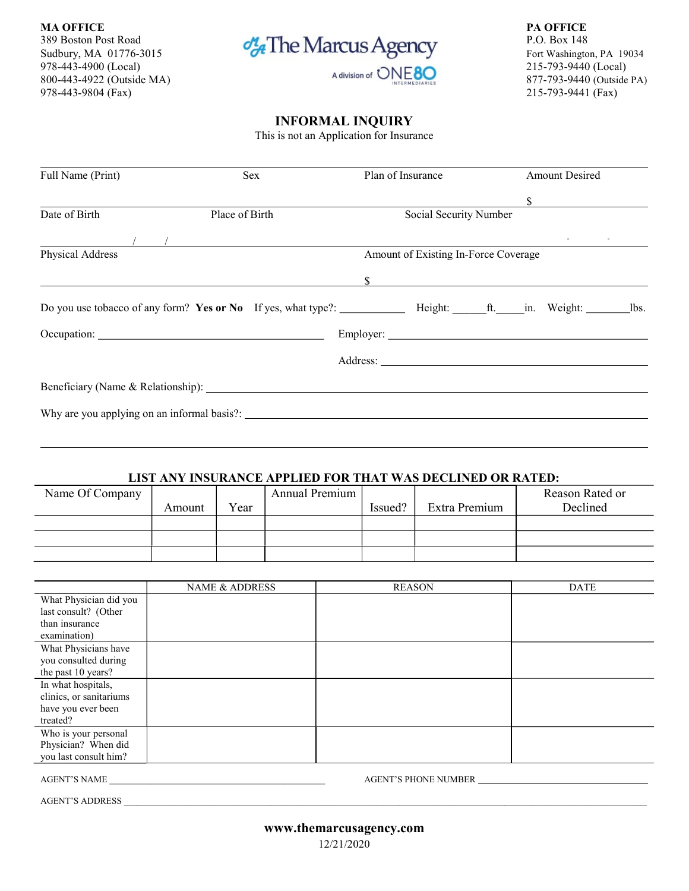MA OFFICE PARTICLE PARTICLE PARTICLE PARTICLE PARTICLE PARTICLE PARTICLE PARTICLE PARTICLE PARTICLE. 978-443-4900 (Local) 215-793-9440 (Local)  $\overline{S}$  a division of  $\overline{ONE}$  80  $\overline{SO}$  215-793-9440 (Local) 215-793-9440 (Local) 800-443-4922 (Outside MA) **877-793-9440** (Outside PA)



978-443-9804 (Fax) 215-793-9441 (Fax)

## INFORMAL INQUIRY

This is not an Application for Insurance

| Full Name (Print) | Sex                                                                                                                                                                                                                                                                                                       |                                      | Plan of Insurance |  |  | <b>Amount Desired</b>       |  |  |
|-------------------|-----------------------------------------------------------------------------------------------------------------------------------------------------------------------------------------------------------------------------------------------------------------------------------------------------------|--------------------------------------|-------------------|--|--|-----------------------------|--|--|
|                   |                                                                                                                                                                                                                                                                                                           |                                      |                   |  |  | $\frac{\text{S}}{\text{S}}$ |  |  |
| Date of Birth     | Place of Birth                                                                                                                                                                                                                                                                                            | Social Security Number               |                   |  |  |                             |  |  |
|                   | $\frac{1}{2}$ , $\frac{1}{2}$ , $\frac{1}{2}$ , $\frac{1}{2}$ , $\frac{1}{2}$ , $\frac{1}{2}$ , $\frac{1}{2}$ , $\frac{1}{2}$ , $\frac{1}{2}$ , $\frac{1}{2}$ , $\frac{1}{2}$ , $\frac{1}{2}$ , $\frac{1}{2}$ , $\frac{1}{2}$ , $\frac{1}{2}$ , $\frac{1}{2}$ , $\frac{1}{2}$ , $\frac{1}{2}$ , $\frac{1$ |                                      |                   |  |  | and the company             |  |  |
| Physical Address  |                                                                                                                                                                                                                                                                                                           | Amount of Existing In-Force Coverage |                   |  |  |                             |  |  |
|                   |                                                                                                                                                                                                                                                                                                           |                                      |                   |  |  |                             |  |  |
|                   | Do you use tobacco of any form? Yes or No If yes, what type?: ____________ Height: _______ ft. ______ in. Weight: __________ lbs.                                                                                                                                                                         |                                      |                   |  |  |                             |  |  |
|                   |                                                                                                                                                                                                                                                                                                           |                                      |                   |  |  |                             |  |  |
|                   |                                                                                                                                                                                                                                                                                                           |                                      |                   |  |  |                             |  |  |
|                   |                                                                                                                                                                                                                                                                                                           |                                      |                   |  |  |                             |  |  |
|                   |                                                                                                                                                                                                                                                                                                           |                                      |                   |  |  |                             |  |  |
|                   |                                                                                                                                                                                                                                                                                                           |                                      |                   |  |  |                             |  |  |

## LIST ANY INSURANCE APPLIED FOR THAT WAS DECLINED OR RATED:

| Name Of Company |        |      | Annual Premium |         |               | Reason Rated or |
|-----------------|--------|------|----------------|---------|---------------|-----------------|
|                 | Amount | Year |                | Issued? | Extra Premium | Declined        |
|                 |        |      |                |         |               |                 |
|                 |        |      |                |         |               |                 |
|                 |        |      |                |         |               |                 |

|                         | NAME & ADDRESS | <b>REASON</b> | <b>DATE</b> |
|-------------------------|----------------|---------------|-------------|
| What Physician did you  |                |               |             |
| last consult? (Other    |                |               |             |
| than insurance          |                |               |             |
| examination)            |                |               |             |
| What Physicians have    |                |               |             |
| you consulted during    |                |               |             |
| the past 10 years?      |                |               |             |
| In what hospitals,      |                |               |             |
| clinics, or sanitariums |                |               |             |
| have you ever been      |                |               |             |
| treated?                |                |               |             |
| Who is your personal    |                |               |             |
| Physician? When did     |                |               |             |
| you last consult him?   |                |               |             |
|                         |                |               |             |

AGENT'S NAME \_\_\_\_\_\_\_\_\_\_\_\_\_\_\_\_\_\_\_\_\_\_\_\_\_\_\_\_\_\_\_\_\_\_\_\_\_\_\_\_\_\_\_\_\_\_\_ AGENT'S PHONE NUMBER

AGENT'S ADDRESS \_\_\_\_\_\_\_\_\_\_\_\_\_\_\_\_\_\_\_\_\_\_\_\_\_\_\_\_\_\_\_\_\_\_\_\_\_\_\_\_\_\_\_\_\_\_\_\_\_\_\_\_\_\_\_\_\_\_\_\_\_\_\_\_\_\_\_\_\_\_\_\_\_\_\_\_\_\_\_\_\_\_\_\_\_\_\_\_\_\_\_\_\_\_\_\_\_\_\_\_\_\_\_\_\_\_\_\_\_\_\_\_\_\_